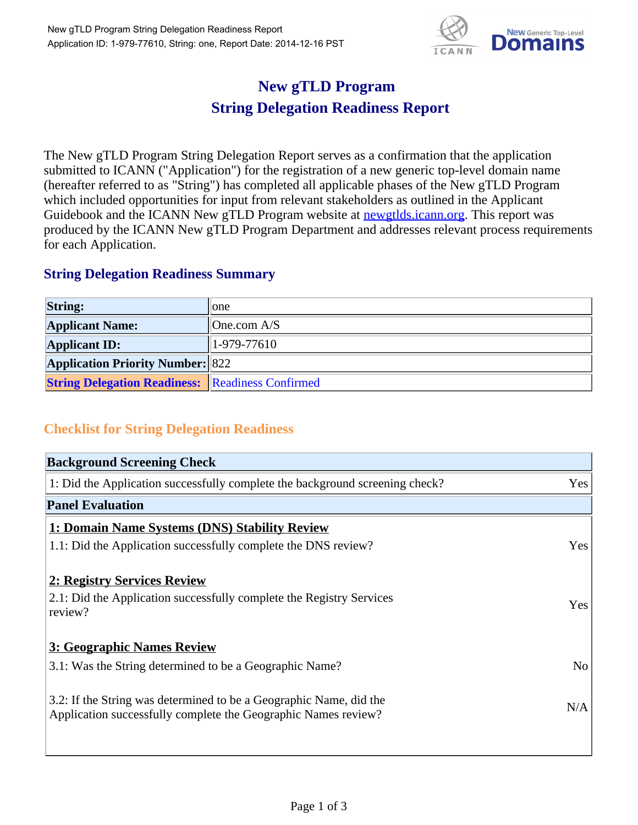

## **New gTLD Program String Delegation Readiness Report**

The New gTLD Program String Delegation Report serves as a confirmation that the application submitted to ICANN ("Application") for the registration of a new generic top-level domain name (hereafter referred to as "String") has completed all applicable phases of the New gTLD Program which included opportunities for input from relevant stakeholders as outlined in the Applicant Guidebook and the ICANN New gTLD Program website at newgtlds.icann.org. This report was produced by the ICANN New gTLD Program Department and addresses relevant process requirements for each Application.

## **String Delegation Readiness Summary**

| <b>String:</b>                                          | lone                |
|---------------------------------------------------------|---------------------|
| <b>Applicant Name:</b>                                  | $\vert$ One.com A/S |
| <b>Applicant ID:</b>                                    | $ 1-979-77610 $     |
| <b>Application Priority Number: 822</b>                 |                     |
| <b>String Delegation Readiness: Readiness Confirmed</b> |                     |

## **Checklist for String Delegation Readiness**

| <b>Background Screening Check</b>                                                                                                    |                |
|--------------------------------------------------------------------------------------------------------------------------------------|----------------|
| 1: Did the Application successfully complete the background screening check?                                                         | Yes            |
| <b>Panel Evaluation</b>                                                                                                              |                |
| 1: Domain Name Systems (DNS) Stability Review                                                                                        |                |
| 1.1: Did the Application successfully complete the DNS review?                                                                       | Yes            |
| 2: Registry Services Review                                                                                                          |                |
| 2.1: Did the Application successfully complete the Registry Services<br>review?                                                      | Yes            |
| <b>3: Geographic Names Review</b>                                                                                                    |                |
| 3.1: Was the String determined to be a Geographic Name?                                                                              | N <sub>o</sub> |
| 3.2: If the String was determined to be a Geographic Name, did the<br>Application successfully complete the Geographic Names review? | N/A            |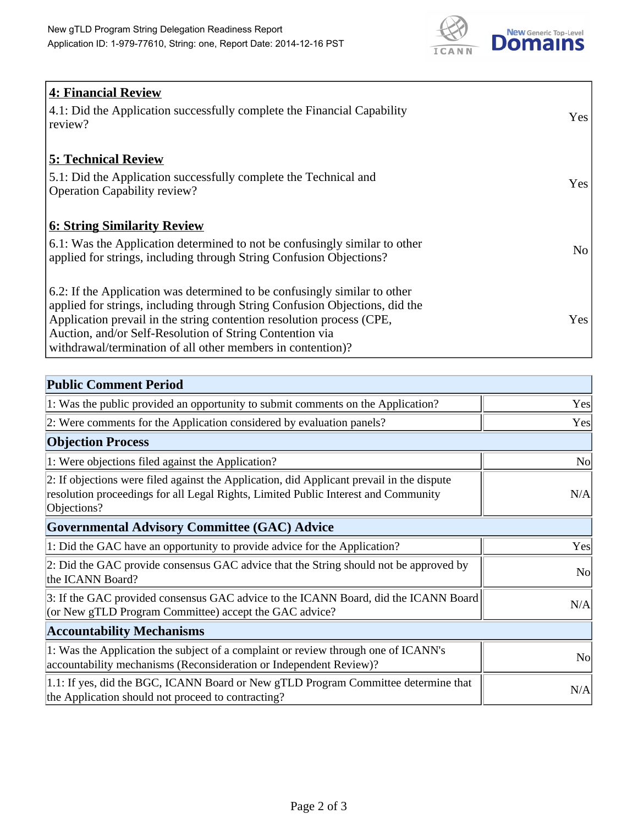

| <b>4: Financial Review</b>                                                  |                 |
|-----------------------------------------------------------------------------|-----------------|
| 4.1: Did the Application successfully complete the Financial Capability     | Yes             |
| review?                                                                     |                 |
|                                                                             |                 |
| <b>5: Technical Review</b>                                                  |                 |
| 5.1: Did the Application successfully complete the Technical and            |                 |
| <b>Operation Capability review?</b>                                         | Yes             |
|                                                                             |                 |
| <b>6: String Similarity Review</b>                                          |                 |
| 6.1: Was the Application determined to not be confusingly similar to other  | No <sub>1</sub> |
| applied for strings, including through String Confusion Objections?         |                 |
|                                                                             |                 |
| 6.2: If the Application was determined to be confusingly similar to other   |                 |
| applied for strings, including through String Confusion Objections, did the |                 |
| Application prevail in the string contention resolution process (CPE,       | Yes             |
| Auction, and/or Self-Resolution of String Contention via                    |                 |
| withdrawal/termination of all other members in contention)?                 |                 |

| <b>Public Comment Period</b>                                                                                                                                                                   |                |
|------------------------------------------------------------------------------------------------------------------------------------------------------------------------------------------------|----------------|
| 1: Was the public provided an opportunity to submit comments on the Application?                                                                                                               | Yes            |
| 2: Were comments for the Application considered by evaluation panels?                                                                                                                          | Yes            |
| <b>Objection Process</b>                                                                                                                                                                       |                |
| 1: Were objections filed against the Application?                                                                                                                                              | N <sub>o</sub> |
| 2: If objections were filed against the Application, did Applicant prevail in the dispute<br>resolution proceedings for all Legal Rights, Limited Public Interest and Community<br>Objections? | N/A            |
| <b>Governmental Advisory Committee (GAC) Advice</b>                                                                                                                                            |                |
| 1: Did the GAC have an opportunity to provide advice for the Application?                                                                                                                      | Yes            |
| 2: Did the GAC provide consensus GAC advice that the String should not be approved by<br>the ICANN Board?                                                                                      | <b>No</b>      |
| 3: If the GAC provided consensus GAC advice to the ICANN Board, did the ICANN Board<br>(or New gTLD Program Committee) accept the GAC advice?                                                  | N/A            |
| <b>Accountability Mechanisms</b>                                                                                                                                                               |                |
| 1: Was the Application the subject of a complaint or review through one of ICANN's<br>accountability mechanisms (Reconsideration or Independent Review)?                                       | N <sub>0</sub> |
| 1.1: If yes, did the BGC, ICANN Board or New gTLD Program Committee determine that<br>the Application should not proceed to contracting?                                                       | N/A            |